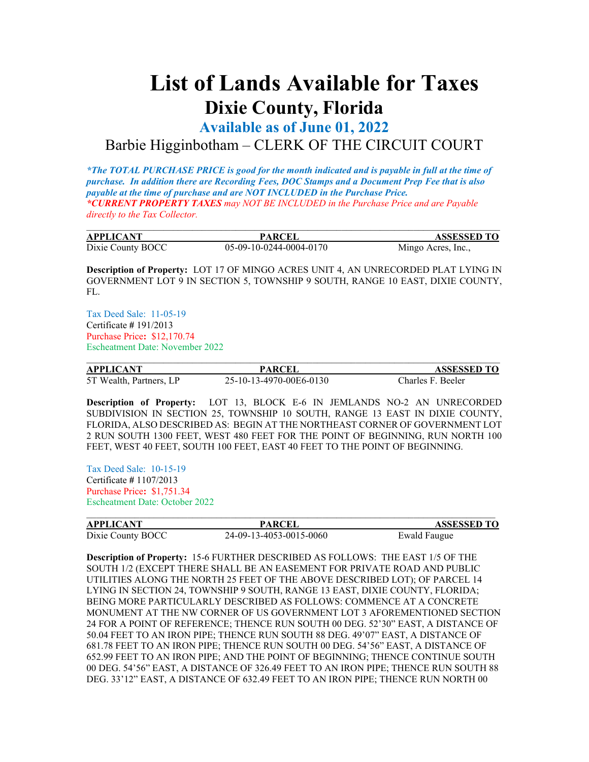## **List of Lands Available for Taxes Dixie County, Florida**

**Available as of June 01, 2022**

## Barbie Higginbotham – CLERK OF THE CIRCUIT COURT

*\*The TOTAL PURCHASE PRICE is good for the month indicated and is payable in full at the time of purchase. In addition there are Recording Fees, DOC Stamps and a Document Prep Fee that is also payable at the time of purchase and are NOT INCLUDED in the Purchase Price. \*CURRENT PROPERTY TAXES may NOT BE INCLUDED in the Purchase Price and are Payable directly to the Tax Collector.*

| <b>APPLICANT</b>  | <b>PARCEI</b>           | <b>ASSESSED TO</b> |
|-------------------|-------------------------|--------------------|
| Dixie County BOCC | 05-09-10-0244-0004-0170 | Mingo Acres, Inc., |

**Description of Property:** LOT 17 OF MINGO ACRES UNIT 4, AN UNRECORDED PLAT LYING IN GOVERNMENT LOT 9 IN SECTION 5, TOWNSHIP 9 SOUTH, RANGE 10 EAST, DIXIE COUNTY, FL.

Tax Deed Sale: 11-05-19 Certificate **#** 191/2013 Purchase Price**:** \$12,170.74 Escheatment Date: November 2022

| <b>APPLICANT</b>        | <b>PARCEL</b>           | <b>ASSESSED TO</b> |
|-------------------------|-------------------------|--------------------|
| 5T Wealth, Partners, LP | 25-10-13-4970-00E6-0130 | Charles F. Beeler  |

**Description of Property:** LOT 13, BLOCK E-6 IN JEMLANDS NO-2 AN UNRECORDED SUBDIVISION IN SECTION 25, TOWNSHIP 10 SOUTH, RANGE 13 EAST IN DIXIE COUNTY, FLORIDA, ALSO DESCRIBED AS: BEGIN AT THE NORTHEAST CORNER OF GOVERNMENT LOT 2 RUN SOUTH 1300 FEET, WEST 480 FEET FOR THE POINT OF BEGINNING, RUN NORTH 100 FEET, WEST 40 FEET, SOUTH 100 FEET, EAST 40 FEET TO THE POINT OF BEGINNING.

Tax Deed Sale: 10-15-19 Certificate **#** 1107/2013 Purchase Price**:** \$1,751.34 Escheatment Date: October 2022

| <b>APPLICANT</b>  | <b>PARCEI</b>           | <b>ASSESSED TO</b> |  |
|-------------------|-------------------------|--------------------|--|
| Dixie County BOCC | 24-09-13-4053-0015-0060 | Ewald Faugue       |  |

**Description of Property:** 15-6 FURTHER DESCRIBED AS FOLLOWS: THE EAST 1/5 OF THE SOUTH 1/2 (EXCEPT THERE SHALL BE AN EASEMENT FOR PRIVATE ROAD AND PUBLIC UTILITIES ALONG THE NORTH 25 FEET OF THE ABOVE DESCRIBED LOT); OF PARCEL 14 LYING IN SECTION 24, TOWNSHIP 9 SOUTH, RANGE 13 EAST, DIXIE COUNTY, FLORIDA; BEING MORE PARTICULARLY DESCRIBED AS FOLLOWS: COMMENCE AT A CONCRETE MONUMENT AT THE NW CORNER OF US GOVERNMENT LOT 3 AFOREMENTIONED SECTION 24 FOR A POINT OF REFERENCE; THENCE RUN SOUTH 00 DEG. 52'30" EAST, A DISTANCE OF 50.04 FEET TO AN IRON PIPE; THENCE RUN SOUTH 88 DEG. 49'07" EAST, A DISTANCE OF 681.78 FEET TO AN IRON PIPE; THENCE RUN SOUTH 00 DEG. 54'56" EAST, A DISTANCE OF 652.99 FEET TO AN IRON PIPE; AND THE POINT OF BEGINNING; THENCE CONTINUE SOUTH 00 DEG. 54'56" EAST, A DISTANCE OF 326.49 FEET TO AN IRON PIPE; THENCE RUN SOUTH 88 DEG. 33'12" EAST, A DISTANCE OF 632.49 FEET TO AN IRON PIPE; THENCE RUN NORTH 00